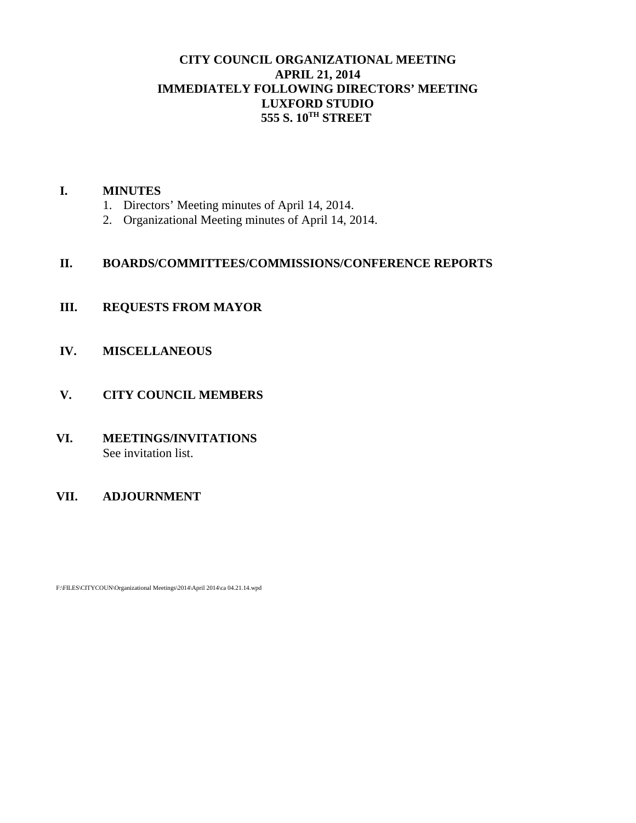# **CITY COUNCIL ORGANIZATIONAL MEETING APRIL 21, 2014 IMMEDIATELY FOLLOWING DIRECTORS' MEETING LUXFORD STUDIO 555 S. 10TH STREET**

## **I. MINUTES**

- 1. Directors' Meeting minutes of April 14, 2014.
- 2. Organizational Meeting minutes of April 14, 2014.

# **II. BOARDS/COMMITTEES/COMMISSIONS/CONFERENCE REPORTS**

# **III. REQUESTS FROM MAYOR**

**IV. MISCELLANEOUS**

# **V. CITY COUNCIL MEMBERS**

**VI. MEETINGS/INVITATIONS** See invitation list.

# **VII. ADJOURNMENT**

F:\FILES\CITYCOUN\Organizational Meetings\2014\April 2014\ca 04.21.14.wpd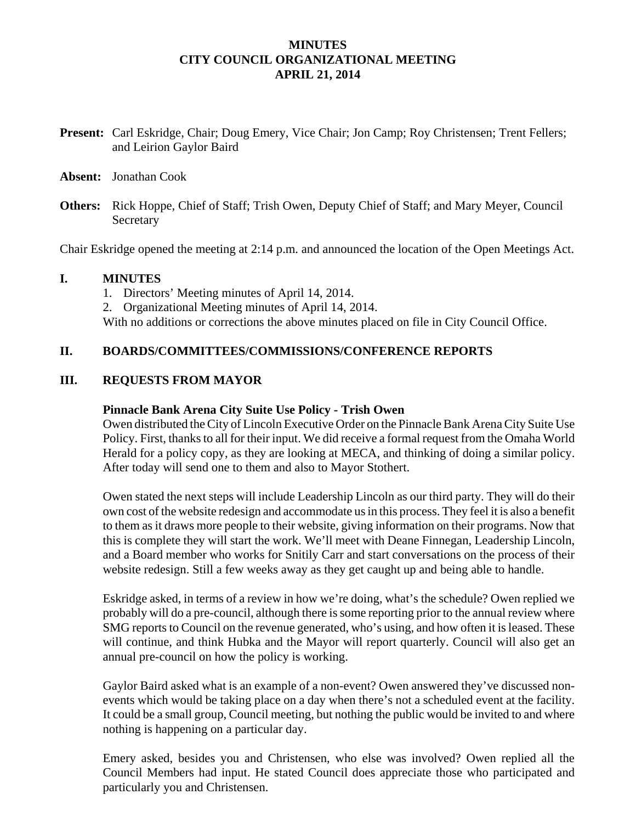## **MINUTES CITY COUNCIL ORGANIZATIONAL MEETING APRIL 21, 2014**

- **Present:** Carl Eskridge, Chair; Doug Emery, Vice Chair; Jon Camp; Roy Christensen; Trent Fellers; and Leirion Gaylor Baird
- **Absent:** Jonathan Cook
- **Others:** Rick Hoppe, Chief of Staff; Trish Owen, Deputy Chief of Staff; and Mary Meyer, Council Secretary

Chair Eskridge opened the meeting at 2:14 p.m. and announced the location of the Open Meetings Act.

#### **I. MINUTES**

1. Directors' Meeting minutes of April 14, 2014.

2. Organizational Meeting minutes of April 14, 2014.

With no additions or corrections the above minutes placed on file in City Council Office.

## **II. BOARDS/COMMITTEES/COMMISSIONS/CONFERENCE REPORTS**

#### **III. REQUESTS FROM MAYOR**

#### **Pinnacle Bank Arena City Suite Use Policy - Trish Owen**

Owen distributed the City of Lincoln Executive Order on the Pinnacle Bank Arena City Suite Use Policy. First, thanks to all for their input. We did receive a formal request from the Omaha World Herald for a policy copy, as they are looking at MECA, and thinking of doing a similar policy. After today will send one to them and also to Mayor Stothert.

Owen stated the next steps will include Leadership Lincoln as our third party. They will do their own cost of the website redesign and accommodate us in this process. They feel it is also a benefit to them as it draws more people to their website, giving information on their programs. Now that this is complete they will start the work. We'll meet with Deane Finnegan, Leadership Lincoln, and a Board member who works for Snitily Carr and start conversations on the process of their website redesign. Still a few weeks away as they get caught up and being able to handle.

Eskridge asked, in terms of a review in how we're doing, what's the schedule? Owen replied we probably will do a pre-council, although there is some reporting prior to the annual review where SMG reports to Council on the revenue generated, who's using, and how often it is leased. These will continue, and think Hubka and the Mayor will report quarterly. Council will also get an annual pre-council on how the policy is working.

Gaylor Baird asked what is an example of a non-event? Owen answered they've discussed nonevents which would be taking place on a day when there's not a scheduled event at the facility. It could be a small group, Council meeting, but nothing the public would be invited to and where nothing is happening on a particular day.

Emery asked, besides you and Christensen, who else was involved? Owen replied all the Council Members had input. He stated Council does appreciate those who participated and particularly you and Christensen.